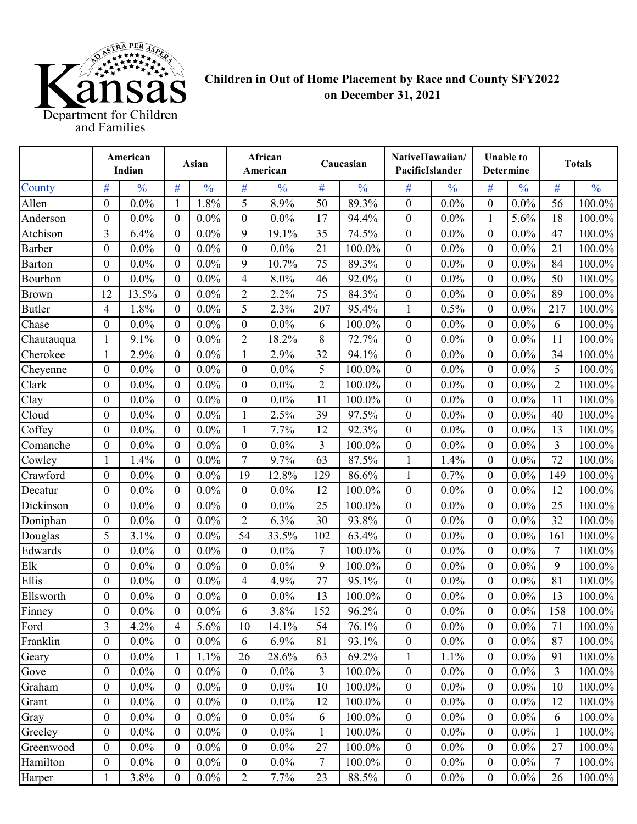

## **Children in Out of Home Placement by Race and County SFY2022 on December 31, 2021**

|                          | American<br>Indian      |               | Asian            |               | African<br>American |               | Caucasian      |               | NativeHawaiian/<br>PacificIslander |               | <b>Unable to</b><br><b>Determine</b> |               | <b>Totals</b>  |               |
|--------------------------|-------------------------|---------------|------------------|---------------|---------------------|---------------|----------------|---------------|------------------------------------|---------------|--------------------------------------|---------------|----------------|---------------|
| County                   | #                       | $\frac{0}{0}$ | #                | $\frac{0}{0}$ | #                   | $\frac{0}{0}$ | #              | $\frac{0}{0}$ | $\#$                               | $\frac{0}{0}$ | $\#$                                 | $\frac{0}{0}$ | #              | $\frac{0}{0}$ |
| Allen                    | $\mathbf{0}$            | $0.0\%$       | $\mathbf{1}$     | 1.8%          | 5                   | 8.9%          | 50             | 89.3%         | $\boldsymbol{0}$                   | $0.0\%$       | $\overline{0}$                       | $0.0\%$       | 56             | 100.0%        |
| Anderson                 | $\theta$                | $0.0\%$       | $\boldsymbol{0}$ | $0.0\%$       | $\boldsymbol{0}$    | $0.0\%$       | 17             | 94.4%         | $\boldsymbol{0}$                   | $0.0\%$       | 1                                    | 5.6%          | 18             | 100.0%        |
| Atchison                 | 3                       | 6.4%          | $\boldsymbol{0}$ | $0.0\%$       | 9                   | 19.1%         | 35             | 74.5%         | $\boldsymbol{0}$                   | $0.0\%$       | $\theta$                             | $0.0\%$       | 47             | 100.0%        |
| Barber                   | $\boldsymbol{0}$        | $0.0\%$       | $\boldsymbol{0}$ | $0.0\%$       | $\boldsymbol{0}$    | $0.0\%$       | 21             | 100.0%        | $\boldsymbol{0}$                   | $0.0\%$       | $\boldsymbol{0}$                     | $0.0\%$       | 21             | 100.0%        |
| <b>Barton</b>            | $\boldsymbol{0}$        | $0.0\%$       | $\boldsymbol{0}$ | $0.0\%$       | 9                   | 10.7%         | 75             | 89.3%         | $\boldsymbol{0}$                   | $0.0\%$       | $\boldsymbol{0}$                     | $0.0\%$       | 84             | 100.0%        |
| Bourbon                  | $\boldsymbol{0}$        | $0.0\%$       | $\mathbf{0}$     | $0.0\%$       | 4                   | 8.0%          | 46             | 92.0%         | $\boldsymbol{0}$                   | $0.0\%$       | $\boldsymbol{0}$                     | $0.0\%$       | 50             | 100.0%        |
| <b>Brown</b>             | 12                      | 13.5%         | $\mathbf{0}$     | $0.0\%$       | $\overline{c}$      | 2.2%          | 75             | 84.3%         | $\mathbf{0}$                       | $0.0\%$       | $\boldsymbol{0}$                     | $0.0\%$       | 89             | 100.0%        |
| <b>Butler</b>            | 4                       | 1.8%          | $\boldsymbol{0}$ | $0.0\%$       | 5                   | 2.3%          | 207            | 95.4%         | 1                                  | 0.5%          | $\mathbf{0}$                         | $0.0\%$       | 217            | 100.0%        |
| Chase                    | $\boldsymbol{0}$        | $0.0\%$       | $\theta$         | $0.0\%$       | $\boldsymbol{0}$    | $0.0\%$       | 6              | 100.0%        | $\boldsymbol{0}$                   | $0.0\%$       | $\theta$                             | $0.0\%$       | 6              | 100.0%        |
| Chautauqua               | 1                       | 9.1%          | $\boldsymbol{0}$ | $0.0\%$       | $\overline{2}$      | 18.2%         | 8              | 72.7%         | $\boldsymbol{0}$                   | $0.0\%$       | $\mathbf{0}$                         | $0.0\%$       | 11             | 100.0%        |
| Cherokee                 |                         | 2.9%          | $\mathbf{0}$     | $0.0\%$       | $\mathbf{1}$        | 2.9%          | 32             | 94.1%         | $\boldsymbol{0}$                   | $0.0\%$       | $\boldsymbol{0}$                     | $0.0\%$       | 34             | 100.0%        |
| Cheyenne                 | $\mathbf{0}$            | 0.0%          | $\boldsymbol{0}$ | $0.0\%$       | $\boldsymbol{0}$    | $0.0\%$       | 5              | 100.0%        | $\boldsymbol{0}$                   | $0.0\%$       | $\boldsymbol{0}$                     | 0.0%          | 5              | 100.0%        |
| Clark                    | $\boldsymbol{0}$        | $0.0\%$       | $\boldsymbol{0}$ | 0.0%          | $\boldsymbol{0}$    | $0.0\%$       | $\overline{2}$ | 100.0%        | $\boldsymbol{0}$                   | $0.0\%$       | $\theta$                             | $0.0\%$       | $\overline{2}$ | 100.0%        |
| Clay                     | $\theta$                | $0.0\%$       | $\boldsymbol{0}$ | $0.0\%$       | $\boldsymbol{0}$    | $0.0\%$       | 11             | 100.0%        | $\boldsymbol{0}$                   | $0.0\%$       | $\boldsymbol{0}$                     | $0.0\%$       | 11             | 100.0%        |
| Cloud                    | $\overline{0}$          | $0.0\%$       | $\boldsymbol{0}$ | $0.0\%$       | $\mathbf{1}$        | 2.5%          | 39             | 97.5%         | $\boldsymbol{0}$                   | $0.0\%$       | $\mathbf{0}$                         | $0.0\%$       | 40             | 100.0%        |
| Coffey                   | $\theta$                | $0.0\%$       | $\mathbf{0}$     | 0.0%          | $\mathbf{1}$        | 7.7%          | 12             | 92.3%         | $\boldsymbol{0}$                   | $0.0\%$       | $\theta$                             | $0.0\%$       | 13             | 100.0%        |
| Comanche                 | $\boldsymbol{0}$        | 0.0%          | $\boldsymbol{0}$ | $0.0\%$       | $\boldsymbol{0}$    | $0.0\%$       | 3              | 100.0%        | $\boldsymbol{0}$                   | $0.0\%$       | $\boldsymbol{0}$                     | $0.0\%$       | 3              | 100.0%        |
| Cowley                   | 1                       | 1.4%          | $\boldsymbol{0}$ | $0.0\%$       | 7                   | 9.7%          | 63             | 87.5%         | $\mathbf{1}$                       | 1.4%          | $\boldsymbol{0}$                     | 0.0%          | 72             | 100.0%        |
| Crawford                 | $\mathbf{0}$            | $0.0\%$       | $\boldsymbol{0}$ | $0.0\%$       | 19                  | 12.8%         | 129            | 86.6%         | 1                                  | 0.7%          | $\boldsymbol{0}$                     | $0.0\%$       | 149            | 100.0%        |
| Decatur                  | $\mathbf{0}$            | $0.0\%$       | $\mathbf{0}$     | 0.0%          | $\boldsymbol{0}$    | $0.0\%$       | 12             | 100.0%        | $\mathbf{0}$                       | $0.0\%$       | $\mathbf{0}$                         | $0.0\%$       | 12             | 100.0%        |
| Dickinson                | $\theta$                | $0.0\%$       | $\theta$         | $0.0\%$       | $\boldsymbol{0}$    | $0.0\%$       | 25             | 100.0%        | $\boldsymbol{0}$                   | $0.0\%$       | $\theta$                             | $0.0\%$       | 25             | 100.0%        |
| Doniphan                 | $\boldsymbol{0}$        | $0.0\%$       | $\boldsymbol{0}$ | 0.0%          | $\overline{2}$      | 6.3%          | 30             | 93.8%         | $\boldsymbol{0}$                   | $0.0\%$       | $\mathbf{0}$                         | $0.0\%$       | 32             | 100.0%        |
| Douglas                  | 5                       | 3.1%          | $\mathbf{0}$     | $0.0\%$       | 54                  | 33.5%         | 102            | 63.4%         | $\boldsymbol{0}$                   | $0.0\%$       | $\boldsymbol{0}$                     | $0.0\%$       | 161            | 100.0%        |
| $\operatorname{Edwards}$ | $\boldsymbol{0}$        | $0.0\%$       | $\boldsymbol{0}$ | $0.0\%$       | $\boldsymbol{0}$    | $0.0\%$       | 7              | 100.0%        | $\boldsymbol{0}$                   | $0.0\%$       | $\boldsymbol{0}$                     | $0.0\%$       | $\tau$         | 100.0%        |
| Elk                      | $\boldsymbol{0}$        | $0.0\%$       | $\boldsymbol{0}$ | 0.0%          | $\boldsymbol{0}$    | $0.0\%$       | 9              | 100.0%        | $\boldsymbol{0}$                   | $0.0\%$       | $\boldsymbol{0}$                     | $0.0\%$       | 9              | 100.0%        |
| Ellis                    | $\theta$                | $0.0\%$       | $\boldsymbol{0}$ | $0.0\%$       | 4                   | 4.9%          | 77             | 95.1%         | $\boldsymbol{0}$                   | $0.0\%$       | $\boldsymbol{0}$                     | $0.0\%$       | 81             | 100.0%        |
| Ellsworth                | $\boldsymbol{0}$        | $0.0\%$       | $\boldsymbol{0}$ | 0.0%          | $\boldsymbol{0}$    | $0.0\%$       | 13             | 100.0%        | $\boldsymbol{0}$                   | $0.0\%$       | $\boldsymbol{0}$                     | $0.0\%$       | 13             | 100.0%        |
| Finney                   | $\Omega$                | $0.0\%$       | $\Omega$         | $0.0\%$       | 6                   | 3.8%          | 152            | 96.2%         | $\boldsymbol{0}$                   | $0.0\%$       | $\boldsymbol{0}$                     | $0.0\%$       | 158            | 100.0%        |
| Ford                     | $\overline{\mathbf{3}}$ | 4.2%          | $\overline{4}$   | 5.6%          | 10                  | 14.1%         | 54             | 76.1%         | $\boldsymbol{0}$                   | $0.0\%$       | $\boldsymbol{0}$                     | $0.0\%$       | 71             | 100.0%        |
| Franklin                 | $\boldsymbol{0}$        | $0.0\%$       | $\boldsymbol{0}$ | $0.0\%$       | 6                   | 6.9%          | 81             | 93.1%         | $\boldsymbol{0}$                   | $0.0\%$       | $\boldsymbol{0}$                     | $0.0\%$       | 87             | $100.0\%$     |
| Geary                    | $\mathbf{0}$            | $0.0\%$       | 1                | 1.1%          | 26                  | 28.6%         | 63             | 69.2%         | $\mathbf{1}$                       | 1.1%          | $\boldsymbol{0}$                     | $0.0\%$       | 91             | 100.0%        |
| Gove                     | $\boldsymbol{0}$        | $0.0\%$       | $\boldsymbol{0}$ | $0.0\%$       | $\boldsymbol{0}$    | $0.0\%$       | 3              | 100.0%        | $\boldsymbol{0}$                   | $0.0\%$       | $\boldsymbol{0}$                     | $0.0\%$       | 3              | 100.0%        |
| Graham                   | $\boldsymbol{0}$        | $0.0\%$       | $\boldsymbol{0}$ | $0.0\%$       | $\boldsymbol{0}$    | $0.0\%$       | 10             | 100.0%        | $\boldsymbol{0}$                   | $0.0\%$       | $\boldsymbol{0}$                     | $0.0\%$       | 10             | 100.0%        |
| Grant                    | $\boldsymbol{0}$        | $0.0\%$       | $\boldsymbol{0}$ | $0.0\%$       | $\boldsymbol{0}$    | $0.0\%$       | 12             | 100.0%        | $\boldsymbol{0}$                   | $0.0\%$       | $\boldsymbol{0}$                     | $0.0\%$       | 12             | $100.0\%$     |
| Gray                     | $\boldsymbol{0}$        | $0.0\%$       | $\boldsymbol{0}$ | $0.0\%$       | $\boldsymbol{0}$    | $0.0\%$       | 6              | 100.0%        | $\boldsymbol{0}$                   | $0.0\%$       | $\boldsymbol{0}$                     | $0.0\%$       | 6              | 100.0%        |
| Greeley                  | $\boldsymbol{0}$        | $0.0\%$       | $\boldsymbol{0}$ | $0.0\%$       | $\boldsymbol{0}$    | $0.0\%$       | $\mathbf{1}$   | 100.0%        | $\boldsymbol{0}$                   | $0.0\%$       | $\boldsymbol{0}$                     | $0.0\%$       | $\mathbf{1}$   | 100.0%        |
| Greenwood                | $\mathbf{0}$            | $0.0\%$       | $\mathbf{0}$     | $0.0\%$       | $\boldsymbol{0}$    | $0.0\%$       | 27             | 100.0%        | $\boldsymbol{0}$                   | $0.0\%$       | $\boldsymbol{0}$                     | $0.0\%$       | 27             | 100.0%        |
| Hamilton                 | $\boldsymbol{0}$        | $0.0\%$       | $\boldsymbol{0}$ | $0.0\%$       | $\boldsymbol{0}$    | $0.0\%$       | 7              | 100.0%        | $\boldsymbol{0}$                   | $0.0\%$       | $\boldsymbol{0}$                     | $0.0\%$       | 7              | 100.0%        |
| Harper                   |                         | 3.8%          | $\boldsymbol{0}$ | $0.0\%$       | $\overline{2}$      | 7.7%          | 23             | 88.5%         | $\boldsymbol{0}$                   | $0.0\%$       | $\boldsymbol{0}$                     | $0.0\%$       | 26             | 100.0%        |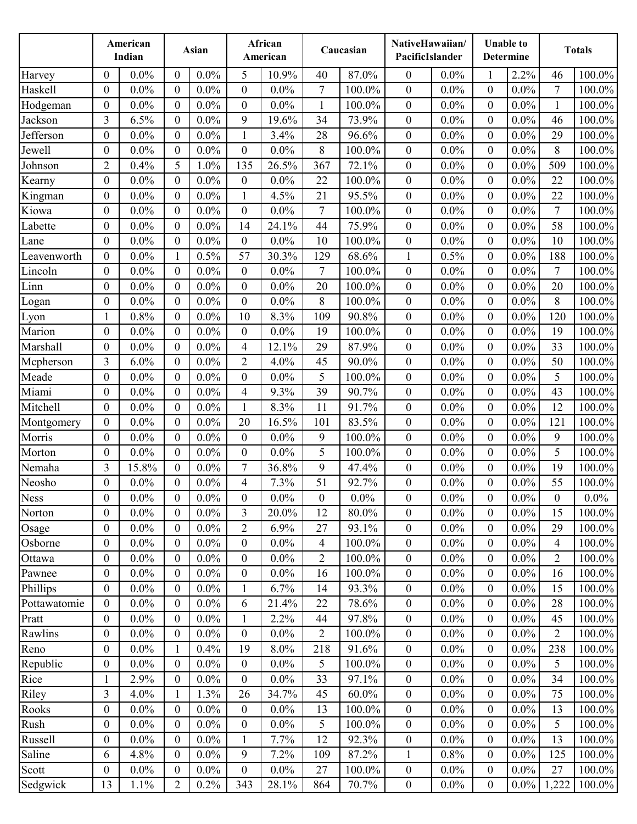|              |                  | American<br>Indian |                  | Asian   |                          | African<br>American |                  | Caucasian | NativeHawaiian/<br>PacificIslander |         |                  | <b>Unable to</b><br><b>Determine</b> |                  | <b>Totals</b> |
|--------------|------------------|--------------------|------------------|---------|--------------------------|---------------------|------------------|-----------|------------------------------------|---------|------------------|--------------------------------------|------------------|---------------|
| Harvey       | $\theta$         | $0.0\%$            | $\theta$         | $0.0\%$ | 5                        | 10.9%               | 40               | 87.0%     | $\boldsymbol{0}$                   | 0.0%    |                  | 2.2%                                 | 46               | 100.0%        |
| Haskell      | $\overline{0}$   | 0.0%               | $\boldsymbol{0}$ | 0.0%    | $\boldsymbol{0}$         | $0.0\%$             | $\tau$           | 100.0%    | $\boldsymbol{0}$                   | $0.0\%$ | $\boldsymbol{0}$ | $0.0\%$                              | $\tau$           | 100.0%        |
| Hodgeman     | $\mathbf{0}$     | $0.0\%$            | $\boldsymbol{0}$ | $0.0\%$ | $\boldsymbol{0}$         | $0.0\%$             | $\mathbf{1}$     | 100.0%    | $\boldsymbol{0}$                   | $0.0\%$ | $\theta$         | $0.0\%$                              | $\mathbf{1}$     | 100.0%        |
| Jackson      | 3                | 6.5%               | $\boldsymbol{0}$ | 0.0%    | 9                        | 19.6%               | 34               | 73.9%     | $\boldsymbol{0}$                   | 0.0%    | $\boldsymbol{0}$ | $0.0\%$                              | 46               | 100.0%        |
| Jefferson    | $\boldsymbol{0}$ | $0.0\%$            | $\overline{0}$   | $0.0\%$ | $\mathbf{1}$             | 3.4%                | 28               | 96.6%     | $\boldsymbol{0}$                   | $0.0\%$ | $\mathbf{0}$     | $0.0\%$                              | 29               | 100.0%        |
| Jewell       | $\overline{0}$   | $0.0\%$            | $\theta$         | 0.0%    | $\boldsymbol{0}$         | $0.0\%$             | 8                | 100.0%    | $\boldsymbol{0}$                   | $0.0\%$ | $\boldsymbol{0}$ | $0.0\%$                              | $8\,$            | 100.0%        |
| Johnson      | $\overline{2}$   | 0.4%               | 5                | 1.0%    | 135                      | 26.5%               | 367              | 72.1%     | $\boldsymbol{0}$                   | $0.0\%$ | $\boldsymbol{0}$ | $0.0\%$                              | 509              | 100.0%        |
| Kearny       | $\boldsymbol{0}$ | $0.0\%$            | $\boldsymbol{0}$ | $0.0\%$ | $\boldsymbol{0}$         | $0.0\%$             | 22               | 100.0%    | $\boldsymbol{0}$                   | $0.0\%$ | $\boldsymbol{0}$ | $0.0\%$                              | 22               | 100.0%        |
| Kingman      | $\boldsymbol{0}$ | $0.0\%$            | $\boldsymbol{0}$ | $0.0\%$ | $\mathbf{1}$             | 4.5%                | 21               | 95.5%     | $\boldsymbol{0}$                   | $0.0\%$ | $\boldsymbol{0}$ | $0.0\%$                              | 22               | 100.0%        |
| Kiowa        | $\boldsymbol{0}$ | $0.0\%$            | $\boldsymbol{0}$ | $0.0\%$ | $\boldsymbol{0}$         | $0.0\%$             | $\overline{7}$   | 100.0%    | $\boldsymbol{0}$                   | $0.0\%$ | $\boldsymbol{0}$ | $0.0\%$                              | $\tau$           | 100.0%        |
| Labette      | $\theta$         | $0.0\%$            | $\theta$         | 0.0%    | 14                       | 24.1%               | 44               | 75.9%     | $\boldsymbol{0}$                   | $0.0\%$ | $\theta$         | $0.0\%$                              | 58               | 100.0%        |
| Lane         | $\mathbf{0}$     | $0.0\%$            | $\overline{0}$   | $0.0\%$ | $\mathbf{0}$             | $0.0\%$             | 10               | 100.0%    | $\overline{0}$                     | $0.0\%$ | $\overline{0}$   | $0.0\%$                              | 10               | 100.0%        |
| Leavenworth  | 0                | $0.0\%$            | 1                | 0.5%    | 57                       | 30.3%               | 129              | 68.6%     | 1                                  | 0.5%    | $\boldsymbol{0}$ | $0.0\%$                              | 188              | 100.0%        |
| Lincoln      | $\boldsymbol{0}$ | $0.0\%$            | $\boldsymbol{0}$ | $0.0\%$ | $\boldsymbol{0}$         | $0.0\%$             | $\overline{7}$   | 100.0%    | $\boldsymbol{0}$                   | $0.0\%$ | $\boldsymbol{0}$ | $0.0\%$                              | $\tau$           | 100.0%        |
| Linn         | $\overline{0}$   | $0.0\%$            | $\boldsymbol{0}$ | $0.0\%$ | $\boldsymbol{0}$         | $0.0\%$             | 20               | 100.0%    | $\boldsymbol{0}$                   | $0.0\%$ | $\boldsymbol{0}$ | $0.0\%$                              | 20               | 100.0%        |
| Logan        | $\theta$         | $0.0\%$            | $\boldsymbol{0}$ | $0.0\%$ | $\boldsymbol{0}$         | $0.0\%$             | 8                | 100.0%    | $\boldsymbol{0}$                   | $0.0\%$ | 0                | $0.0\%$                              | $\,8\,$          | 100.0%        |
| Lyon         | 1                | 0.8%               | $\boldsymbol{0}$ | $0.0\%$ | 10                       | 8.3%                | 109              | 90.8%     | $\boldsymbol{0}$                   | $0.0\%$ | $\overline{0}$   | $0.0\%$                              | 120              | 100.0%        |
| Marion       | $\theta$         | $0.0\%$            | $\theta$         | $0.0\%$ | $\boldsymbol{0}$         | $0.0\%$             | 19               | 100.0%    | $\boldsymbol{0}$                   | $0.0\%$ | $\overline{0}$   | $0.0\%$                              | 19               | 100.0%        |
| Marshall     | $\boldsymbol{0}$ | $0.0\%$            | $\boldsymbol{0}$ | $0.0\%$ | 4                        | 12.1%               | 29               | 87.9%     | $\boldsymbol{0}$                   | $0.0\%$ | $\boldsymbol{0}$ | $0.0\%$                              | 33               | 100.0%        |
| Mcpherson    | 3                | 6.0%               | $\theta$         | 0.0%    | $\overline{2}$           | 4.0%                | 45               | 90.0%     | $\boldsymbol{0}$                   | $0.0\%$ | $\boldsymbol{0}$ | $0.0\%$                              | 50               | 100.0%        |
| Meade        | $\overline{0}$   | $0.0\%$            | $\boldsymbol{0}$ | $0.0\%$ | $\boldsymbol{0}$         | $0.0\%$             | 5                | 100.0%    | $\boldsymbol{0}$                   | 0.0%    | $\boldsymbol{0}$ | $0.0\%$                              | 5                | 100.0%        |
| Miami        | $\boldsymbol{0}$ | $0.0\%$            | $\boldsymbol{0}$ | $0.0\%$ | $\overline{\mathcal{A}}$ | 9.3%                | 39               | 90.7%     | $\boldsymbol{0}$                   | $0.0\%$ | $\boldsymbol{0}$ | $0.0\%$                              | 43               | 100.0%        |
| Mitchell     | $\overline{0}$   | $0.0\%$            | $\boldsymbol{0}$ | 0.0%    | $\mathbf{1}$             | 8.3%                | 11               | 91.7%     | $\boldsymbol{0}$                   | 0.0%    | $\boldsymbol{0}$ | $0.0\%$                              | 12               | 100.0%        |
| Montgomery   | $\boldsymbol{0}$ | $0.0\%$            | $\overline{0}$   | $0.0\%$ | 20                       | 16.5%               | 101              | 83.5%     | $\boldsymbol{0}$                   | $0.0\%$ | $\mathbf{0}$     | $0.0\%$                              | 121              | 100.0%        |
| Morris       | $\overline{0}$   | $0.0\%$            | $\theta$         | $0.0\%$ | $\boldsymbol{0}$         | $0.0\%$             | 9                | 100.0%    | $\boldsymbol{0}$                   | $0.0\%$ | $\boldsymbol{0}$ | $0.0\%$                              | 9                | 100.0%        |
| Morton       | $\boldsymbol{0}$ | 0.0%               | $\boldsymbol{0}$ | $0.0\%$ | $\boldsymbol{0}$         | $0.0\%$             | 5                | 100.0%    | $\boldsymbol{0}$                   | $0.0\%$ | $\boldsymbol{0}$ | $0.0\%$                              | 5                | 100.0%        |
| Nemaha       | 3                | 15.8%              | $\boldsymbol{0}$ | 0.0%    | $\tau$                   | 36.8%               | 9                | 47.4%     | $\boldsymbol{0}$                   | $0.0\%$ | $\boldsymbol{0}$ | $0.0\%$                              | 19               | 100.0%        |
| Neosho       | $\boldsymbol{0}$ | $0.0\%$            | $\boldsymbol{0}$ | $0.0\%$ | 4                        | 7.3%                | 51               | 92.7%     | $\boldsymbol{0}$                   | $0.0\%$ | $\boldsymbol{0}$ | $0.0\%$                              | 55               | 100.0%        |
| Ness         | $\boldsymbol{0}$ | $0.0\%$            | $\boldsymbol{0}$ | $0.0\%$ | $\boldsymbol{0}$         | $0.0\%$             | $\boldsymbol{0}$ | $0.0\%$   | $\boldsymbol{0}$                   | $0.0\%$ | $\boldsymbol{0}$ | $0.0\%$                              | $\boldsymbol{0}$ | $0.0\%$       |
| Norton       | $\boldsymbol{0}$ | $0.0\%$            | $\theta$         | $0.0\%$ | 3                        | 20.0%               | 12               | 80.0%     | $\boldsymbol{0}$                   | $0.0\%$ | $\theta$         | $0.0\%$                              | 15               | 100.0%        |
| Osage        | $\boldsymbol{0}$ | $0.0\%$            | $\boldsymbol{0}$ | $0.0\%$ | $\overline{2}$           | 6.9%                | 27               | 93.1%     | $\mathbf{0}$                       | $0.0\%$ | $\boldsymbol{0}$ | $0.0\%$                              | 29               | 100.0%        |
| Osborne      | 0                | $0.0\%$            | $\boldsymbol{0}$ | $0.0\%$ | $\boldsymbol{0}$         | $0.0\%$             | $\overline{4}$   | 100.0%    | $\boldsymbol{0}$                   | $0.0\%$ | $\boldsymbol{0}$ | $0.0\%$                              | $\overline{4}$   | 100.0%        |
| Ottawa       | $\boldsymbol{0}$ | $0.0\%$            | $\boldsymbol{0}$ | $0.0\%$ | $\boldsymbol{0}$         | $0.0\%$             | $\overline{2}$   | 100.0%    | $\boldsymbol{0}$                   | $0.0\%$ | $\boldsymbol{0}$ | $0.0\%$                              | $\overline{2}$   | $100.0\%$     |
| Pawnee       | $\mathbf{0}$     | $0.0\%$            | $\boldsymbol{0}$ | $0.0\%$ | $\boldsymbol{0}$         | $0.0\%$             | 16               | 100.0%    | $\boldsymbol{0}$                   | $0.0\%$ | $\boldsymbol{0}$ | $0.0\%$                              | 16               | $100.0\%$     |
| Phillips     | $\boldsymbol{0}$ | $0.0\%$            | 0                | $0.0\%$ | $\mathbf{1}$             | 6.7%                | 14               | 93.3%     | $\boldsymbol{0}$                   | $0.0\%$ | $\boldsymbol{0}$ | $0.0\%$                              | 15               | 100.0%        |
| Pottawatomie | $\boldsymbol{0}$ | $0.0\%$            | $\theta$         | $0.0\%$ | 6                        | 21.4%               | 22               | 78.6%     | $\boldsymbol{0}$                   | $0.0\%$ | $\overline{0}$   | $0.0\%$                              | 28               | 100.0%        |
| Pratt        | $\overline{0}$   | $0.0\%$            | $\boldsymbol{0}$ | $0.0\%$ | $\mathbf{1}$             | 2.2%                | 44               | 97.8%     | $\boldsymbol{0}$                   | $0.0\%$ | $\boldsymbol{0}$ | $0.0\%$                              | 45               | 100.0%        |
| Rawlins      | $\mathbf{0}$     | $0.0\%$            | $\boldsymbol{0}$ | $0.0\%$ | $\boldsymbol{0}$         | $0.0\%$             | $\overline{2}$   | 100.0%    | $\boldsymbol{0}$                   | $0.0\%$ | $\boldsymbol{0}$ | $0.0\%$                              | $\overline{2}$   | 100.0%        |
| Reno         | $\mathbf{0}$     | $0.0\%$            | $\mathbf{1}$     | 0.4%    | 19                       | 8.0%                | 218              | 91.6%     | $\boldsymbol{0}$                   | $0.0\%$ | $\mathbf{0}$     | $0.0\%$                              | 238              | 100.0%        |
| Republic     | $\boldsymbol{0}$ | $0.0\%$            | 0                | $0.0\%$ | $\boldsymbol{0}$         | $0.0\%$             | 5                | 100.0%    | $\boldsymbol{0}$                   | $0.0\%$ | $\overline{0}$   | $0.0\%$                              | 5                | 100.0%        |
| Rice         | 1                | 2.9%               | $\overline{0}$   | $0.0\%$ | $\boldsymbol{0}$         | $0.0\%$             | 33               | 97.1%     | $\boldsymbol{0}$                   | $0.0\%$ | $\boldsymbol{0}$ | $0.0\%$                              | 34               | 100.0%        |
| Riley        | 3                | 4.0%               | 1                | 1.3%    | 26                       | 34.7%               | 45               | $60.0\%$  | $\boldsymbol{0}$                   | $0.0\%$ | $\theta$         | $0.0\%$                              | 75               | $100.0\%$     |
| Rooks        | $\overline{0}$   | $0.0\%$            | $\theta$         | $0.0\%$ | $\boldsymbol{0}$         | $0.0\%$             | 13               | 100.0%    | $\mathbf{0}$                       | $0.0\%$ | $\overline{0}$   | $0.0\%$                              | 13               | 100.0%        |
| Rush         | $\boldsymbol{0}$ | $0.0\%$            | 0                | $0.0\%$ | $\boldsymbol{0}$         | $0.0\%$             | 5                | 100.0%    | $\boldsymbol{0}$                   | $0.0\%$ | $\boldsymbol{0}$ | $0.0\%$                              | 5                | 100.0%        |
| Russell      | $\boldsymbol{0}$ | $0.0\%$            | $\boldsymbol{0}$ | $0.0\%$ |                          | 7.7%                | 12               | 92.3%     | $\boldsymbol{0}$                   | $0.0\%$ | $\boldsymbol{0}$ | $0.0\%$                              | 13               | 100.0%        |
| Saline       | 6                | 4.8%               | $\theta$         | $0.0\%$ | $\mathbf{1}$<br>9        | 7.2%                | 109              | 87.2%     | $\mathbf{1}$                       | $0.8\%$ | $\mathbf{0}$     | $0.0\%$                              | 125              | $100.0\%$     |
|              |                  |                    |                  |         |                          |                     |                  |           |                                    |         |                  |                                      |                  | $100.0\%$     |
| Scott        | $\boldsymbol{0}$ | $0.0\%$            | $\theta$         | $0.0\%$ | $\boldsymbol{0}$         | $0.0\%$             | 27               | 100.0%    | $\boldsymbol{0}$                   | $0.0\%$ | $\overline{0}$   | $0.0\%$                              | 27               |               |
| Sedgwick     | 13               | 1.1%               | $\overline{2}$   | 0.2%    | 343                      | 28.1%               | 864              | 70.7%     | $\boldsymbol{0}$                   | $0.0\%$ | $\boldsymbol{0}$ | $0.0\%$                              | 1,222            | 100.0%        |